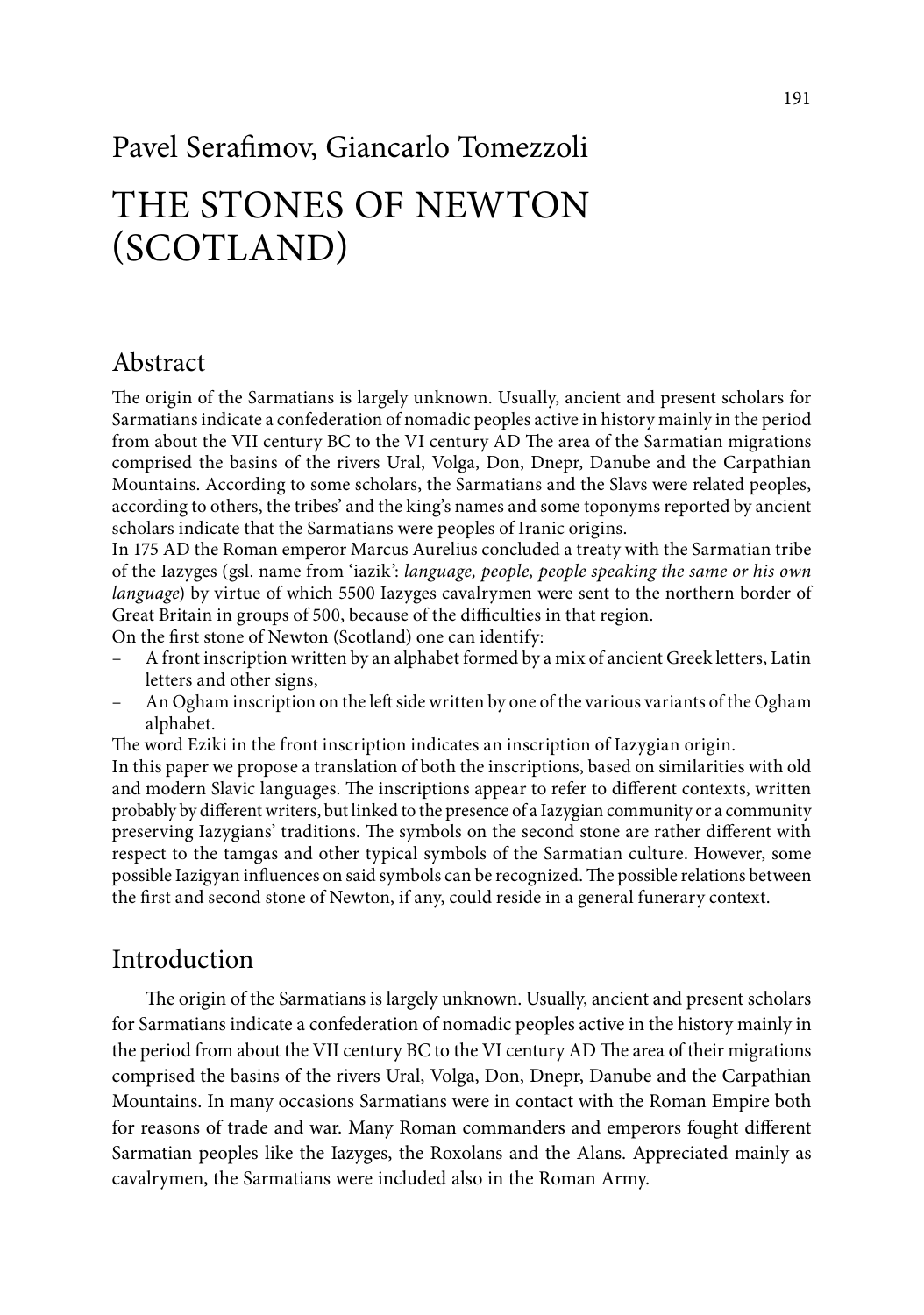# Pavel Serafimov, Giancarlo Tomezzoli The Stones of Newton (Scotland)

# Abstract

The origin of the Sarmatians is largely unknown. Usually, ancient and present scholars for Sarmatians indicate a confederation of nomadic peoples active in history mainly in the period from about the VII century BC to the VI century AD The area of the Sarmatian migrations comprised the basins of the rivers Ural, Volga, Don, Dnepr, Danube and the Carpathian Mountains. According to some scholars, the Sarmatians and the Slavs were related peoples, according to others, the tribes' and the king's names and some toponyms reported by ancient scholars indicate that the Sarmatians were peoples of Iranic origins.

In 175 AD the Roman emperor Marcus Aurelius concluded a treaty with the Sarmatian tribe of the Iazyges (gsl. name from 'iazik': *language, people, people speaking the same or his own language*) by virtue of which 5500 Iazyges cavalrymen were sent to the northern border of Great Britain in groups of 500, because of the difficulties in that region.

On the first stone of Newton (Scotland) one can identify:

- A front inscription written by an alphabet formed by a mix of ancient Greek letters, Latin letters and other signs,
- An Ogham inscription on the left side written by one of the various variants of the Ogham alphabet.

The word Eziki in the front inscription indicates an inscription of Iazygian origin.

In this paper we propose a translation of both the inscriptions, based on similarities with old and modern Slavic languages. The inscriptions appear to refer to different contexts, written probably by different writers, but linked to the presence of a Iazygian community or a community preserving Iazygians' traditions. The symbols on the second stone are rather different with respect to the tamgas and other typical symbols of the Sarmatian culture. However, some possible Iazigyan influences on said symbols can be recognized. The possible relations between the first and second stone of Newton, if any, could reside in a general funerary context.

# Introduction

The origin of the Sarmatians is largely unknown. Usually, ancient and present scholars for Sarmatians indicate a confederation of nomadic peoples active in the history mainly in the period from about the VII century BC to the VI century AD The area of their migrations comprised the basins of the rivers Ural, Volga, Don, Dnepr, Danube and the Carpathian Mountains. In many occasions Sarmatians were in contact with the Roman Empire both for reasons of trade and war. Many Roman commanders and emperors fought different Sarmatian peoples like the Iazyges, the Roxolans and the Alans. Appreciated mainly as cavalrymen, the Sarmatians were included also in the Roman Army.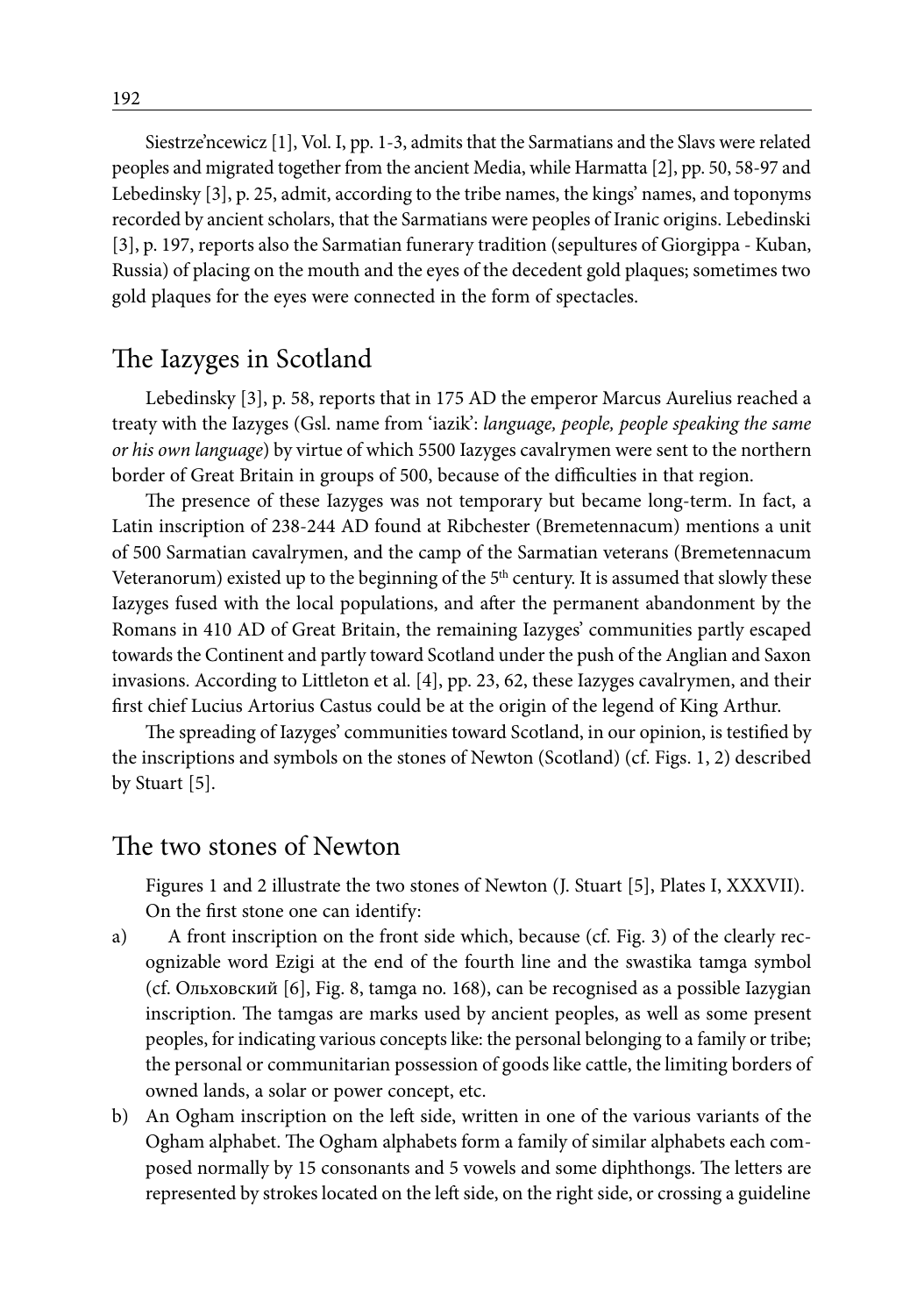Siestrze'ncewicz [1], Vol. I, pp. 1-3, admits that the Sarmatians and the Slavs were related peoples and migrated together from the ancient Media, while Harmatta [2], pp. 50, 58-97 and Lebedinsky [3], p. 25, admit, according to the tribe names, the kings' names, and toponyms recorded by ancient scholars, that the Sarmatians were peoples of Iranic origins. Lebedinski [3], p. 197, reports also the Sarmatian funerary tradition (sepultures of Giorgippa - Kuban, Russia) of placing on the mouth and the eyes of the decedent gold plaques; sometimes two gold plaques for the eyes were connected in the form of spectacles.

### The Iazyges in Scotland

Lebedinsky [3], p. 58, reports that in 175 AD the emperor Marcus Aurelius reached a treaty with the Iazyges (Gsl. name from 'iazik': *language, people, people speaking the same or his own language*) by virtue of which 5500 Iazyges cavalrymen were sent to the northern border of Great Britain in groups of 500, because of the difficulties in that region.

The presence of these Iazyges was not temporary but became long-term. In fact, a Latin inscription of 238-244 AD found at Ribchester (Bremetennacum) mentions a unit of 500 Sarmatian cavalrymen, and the camp of the Sarmatian veterans (Bremetennacum Veteranorum) existed up to the beginning of the  $5<sup>th</sup>$  century. It is assumed that slowly these Iazyges fused with the local populations, and after the permanent abandonment by the Romans in 410 AD of Great Britain, the remaining Iazyges' communities partly escaped towards the Continent and partly toward Scotland under the push of the Anglian and Saxon invasions. According to Littleton et al. [4], pp. 23, 62, these Iazyges cavalrymen, and their first chief Lucius Artorius Castus could be at the origin of the legend of King Arthur.

The spreading of Iazyges' communities toward Scotland, in our opinion, is testified by the inscriptions and symbols on the stones of Newton (Scotland) (cf. Figs. 1, 2) described by Stuart [5].

### The two stones of Newton

Figures 1 and 2 illustrate the two stones of Newton (J. Stuart [5], Plates I, XXXVII). On the first stone one can identify:

- a) A front inscription on the front side which, because (cf. Fig. 3) of the clearly recognizable word Ezigi at the end of the fourth line and the swastika tamga symbol (cf. Ольховский [6], Fig. 8, tamga no. 168), can be recognised as a possible Iazygian inscription. The tamgas are marks used by ancient peoples, as well as some present peoples, for indicating various concepts like: the personal belonging to a family or tribe; the personal or communitarian possession of goods like cattle, the limiting borders of owned lands, a solar or power concept, etc.
- b) An Ogham inscription on the left side, written in one of the various variants of the Ogham alphabet. The Ogham alphabets form a family of similar alphabets each composed normally by 15 consonants and 5 vowels and some diphthongs. The letters are represented by strokes located on the left side, on the right side, or crossing a guideline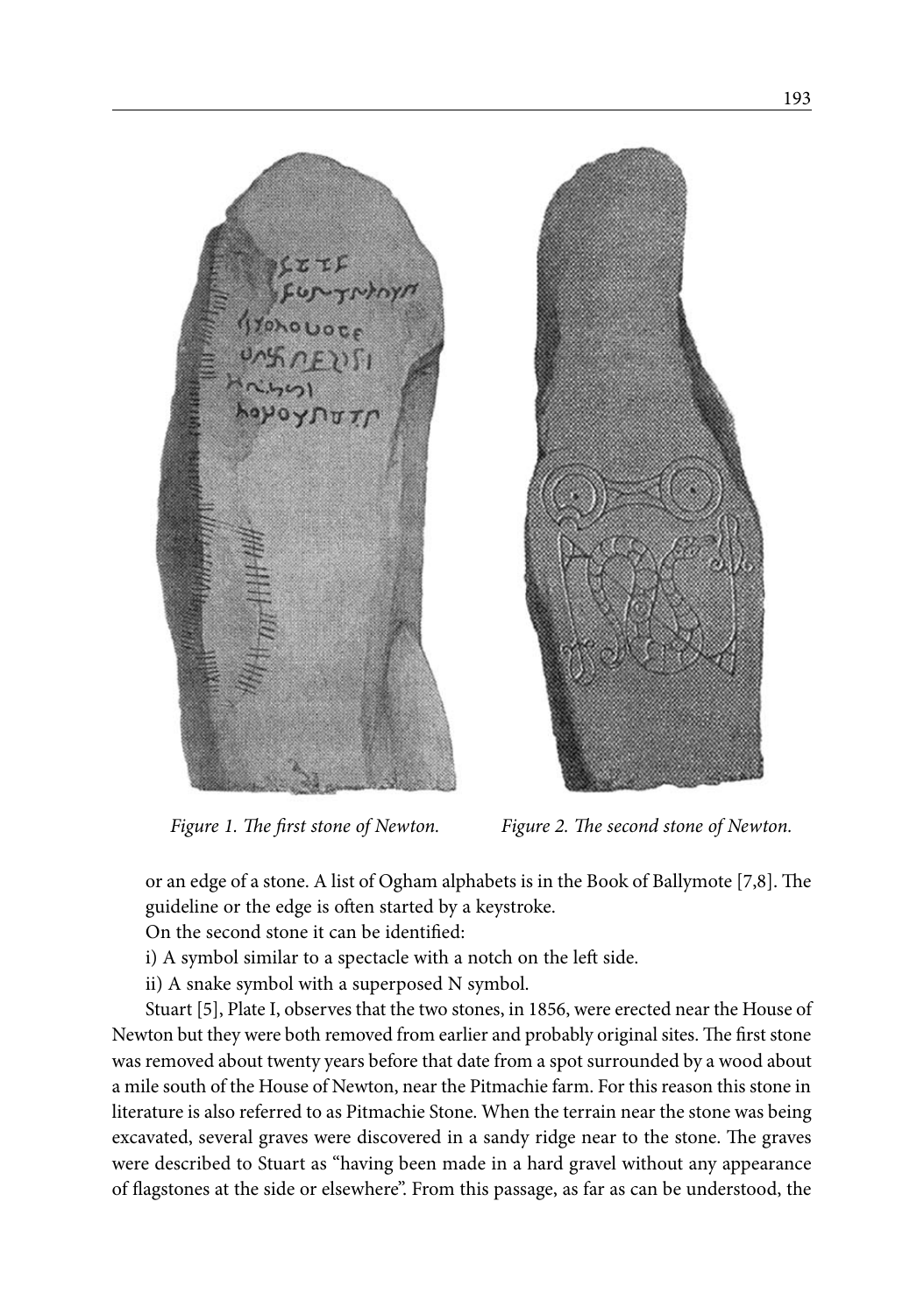

*Figure 1. The first stone of Newton. Figure 2. The second stone of Newton.*

or an edge of a stone. A list of Ogham alphabets is in the Book of Ballymote [7,8]. The guideline or the edge is often started by a keystroke.

On the second stone it can be identified:

i) A symbol similar to a spectacle with a notch on the left side.

ii) A snake symbol with a superposed N symbol.

Stuart [5], Plate I, observes that the two stones, in 1856, were erected near the House of Newton but they were both removed from earlier and probably original sites. The first stone was removed about twenty years before that date from a spot surrounded by a wood about a mile south of the House of Newton, near the Pitmachie farm. For this reason this stone in literature is also referred to as Pitmachie Stone. When the terrain near the stone was being excavated, several graves were discovered in a sandy ridge near to the stone. The graves were described to Stuart as "having been made in a hard gravel without any appearance of flagstones at the side or elsewhere". From this passage, as far as can be understood, the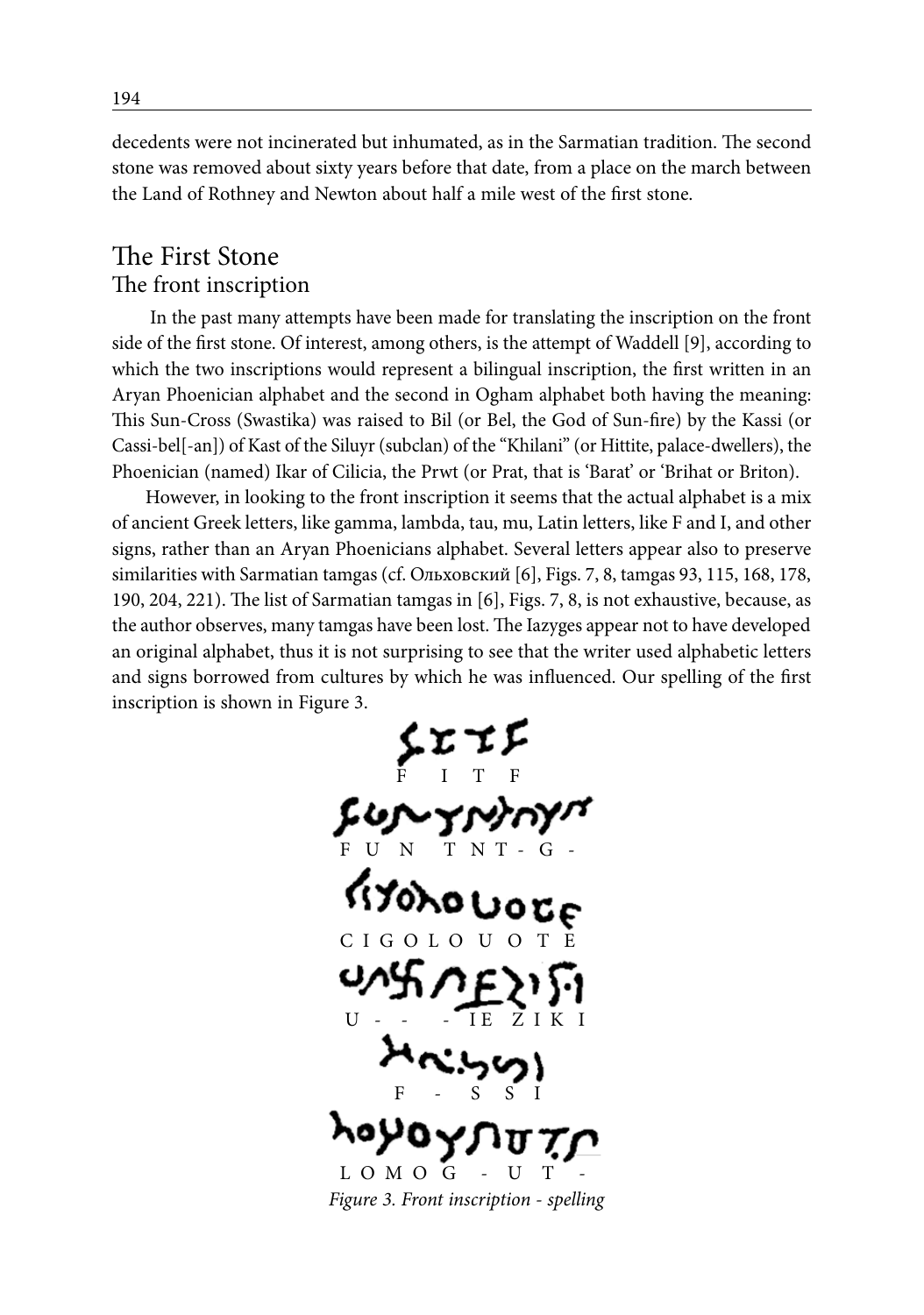decedents were not incinerated but inhumated, as in the Sarmatian tradition. The second stone was removed about sixty years before that date, from a place on the march between the Land of Rothney and Newton about half a mile west of the first stone.

# The First Stone The front inscription

In the past many attempts have been made for translating the inscription on the front side of the first stone. Of interest, among others, is the attempt of Waddell [9], according to which the two inscriptions would represent a bilingual inscription, the first written in an Aryan Phoenician alphabet and the second in Ogham alphabet both having the meaning: This Sun-Cross (Swastika) was raised to Bil (or Bel, the God of Sun-fire) by the Kassi (or Cassi-bel[-an]) of Kast of the Siluyr (subclan) of the "Khilani" (or Hittite, palace-dwellers), the Phoenician (named) Ikar of Cilicia, the Prwt (or Prat, that is 'Barat' or 'Brihat or Briton).

However, in looking to the front inscription it seems that the actual alphabet is a mix of ancient Greek letters, like gamma, lambda, tau, mu, Latin letters, like F and I, and other signs, rather than an Aryan Phoenicians alphabet. Several letters appear also to preserve similarities with Sarmatian tamgas (cf. Ольховский [6], Figs. 7, 8, tamgas 93, 115, 168, 178, 190, 204, 221). The list of Sarmatian tamgas in [6], Figs. 7, 8, is not exhaustive, because, as the author observes, many tamgas have been lost. The Iazyges appear not to have developed an original alphabet, thus it is not surprising to see that the writer used alphabetic letters and signs borrowed from cultures by which he was influenced. Our spelling of the first inscription is shown in Figure 3.

 F I T F F U N T N T - G -  $C$  I G O L O U U - - - IE Z I K I F - S S I  $L O M O G$ *Figure 3. Front inscription - spelling*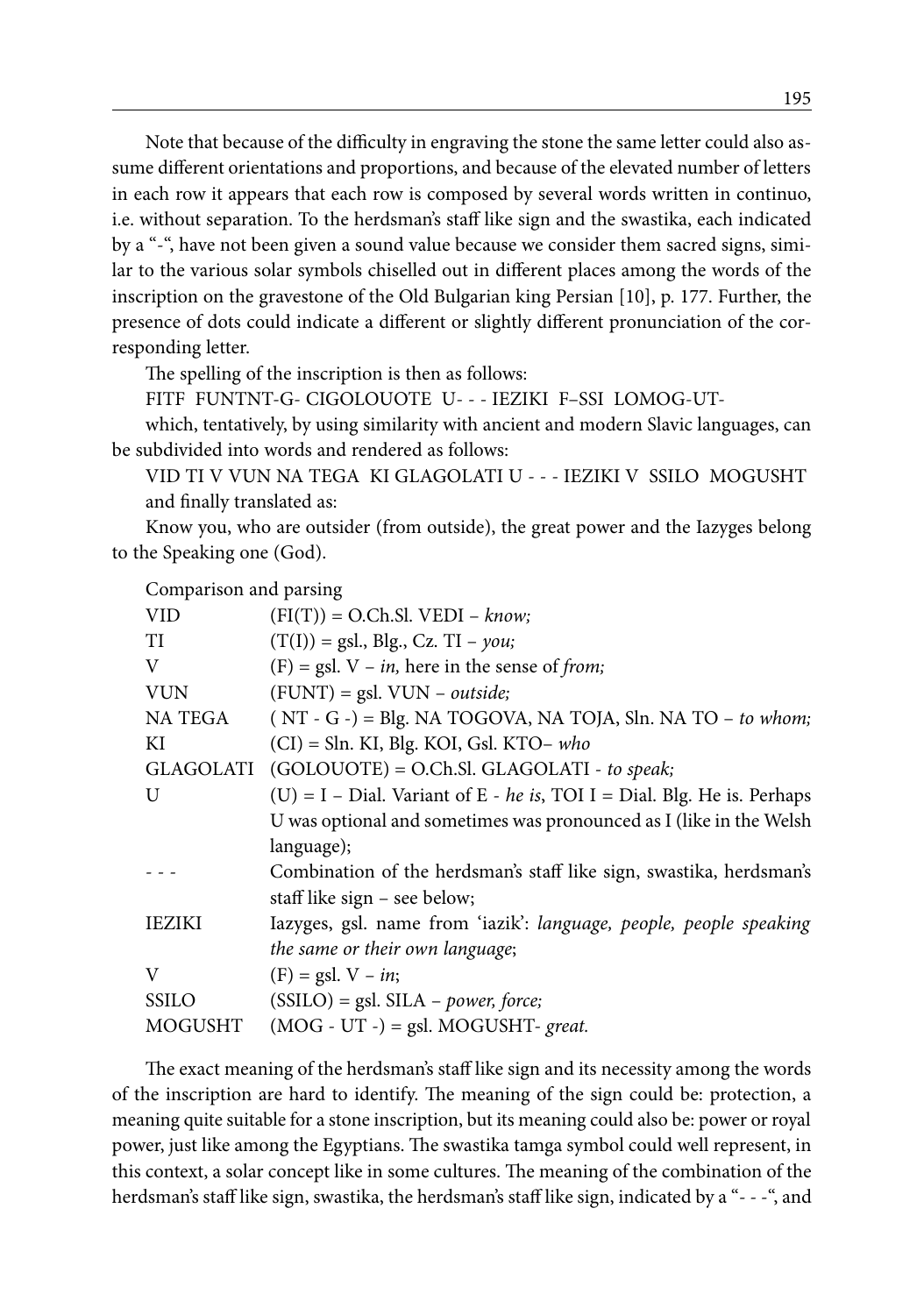Note that because of the difficulty in engraving the stone the same letter could also assume different orientations and proportions, and because of the elevated number of letters in each row it appears that each row is composed by several words written in continuo, i.e. without separation. To the herdsman's staff like sign and the swastika, each indicated by a "-", have not been given a sound value because we consider them sacred signs, similar to the various solar symbols chiselled out in different places among the words of the inscription on the gravestone of the Old Bulgarian king Persian [10], p. 177. Further, the presence of dots could indicate a different or slightly different pronunciation of the corresponding letter.

The spelling of the inscription is then as follows:

FITF FUNTNT-G- CIGOLOUOTE U- - - IEZIKI F–SSI LOMOG-UT-

which, tentatively, by using similarity with ancient and modern Slavic languages, can be subdivided into words and rendered as follows:

VID TI V VUN NA TEGA KI GLAGOLATI U - - - IEZIKI V SSILO MOGUSHT and finally translated as:

Know you, who are outsider (from outside), the great power and the Iazyges belong to the Speaking one (God).

Comparison and parsing

| <b>VID</b>    | $(FI(T)) = O.Ch.SI. VEDI - know;$                                       |  |  |  |  |
|---------------|-------------------------------------------------------------------------|--|--|--|--|
| TI            | $(T(I)) = gsl., Blg., Cz. TI - you;$                                    |  |  |  |  |
| V             | $(F)$ = gsl. V – <i>in</i> , here in the sense of <i>from</i> ;         |  |  |  |  |
| <b>VUN</b>    | $(FUNT) = gsl. VUN - outside;$                                          |  |  |  |  |
| NA TEGA       | $(NT - G -) = Blg. NA TOGOVA, NA TOJA, Sln. NA TO – to whom;$           |  |  |  |  |
| KI            | $(Cl) = Sln$ . KI, Blg. KOI, Gsl. KTO- who                              |  |  |  |  |
| GLAGOLATI     | (GOLOUOTE) = O.Ch.Sl. GLAGOLATI - to speak;                             |  |  |  |  |
| U             | (U) = I – Dial. Variant of E - he is, TOI I = Dial. Blg. He is. Perhaps |  |  |  |  |
|               | U was optional and sometimes was pronounced as I (like in the Welsh     |  |  |  |  |
|               | language);                                                              |  |  |  |  |
|               | Combination of the herdsman's staff like sign, swastika, herdsman's     |  |  |  |  |
|               | staff like sign – see below;                                            |  |  |  |  |
| <b>IEZIKI</b> | Iazyges, gsl. name from 'iazik': language, people, people speaking      |  |  |  |  |
|               | the same or their own language;                                         |  |  |  |  |
| V             | $(F) = gsl. V - in;$                                                    |  |  |  |  |
| <b>SSILO</b>  | $(SSILO) = gsl. SILA - power, force;$                                   |  |  |  |  |
| MOGUSHT       | $(MOG - UT -) =$ gsl. MOGUSHT- great.                                   |  |  |  |  |
|               |                                                                         |  |  |  |  |

The exact meaning of the herdsman's staff like sign and its necessity among the words of the inscription are hard to identify. The meaning of the sign could be: protection, a meaning quite suitable for a stone inscription, but its meaning could also be: power or royal power, just like among the Egyptians. The swastika tamga symbol could well represent, in this context, a solar concept like in some cultures. The meaning of the combination of the herdsman's staff like sign, swastika, the herdsman's staff like sign, indicated by a "- - -", and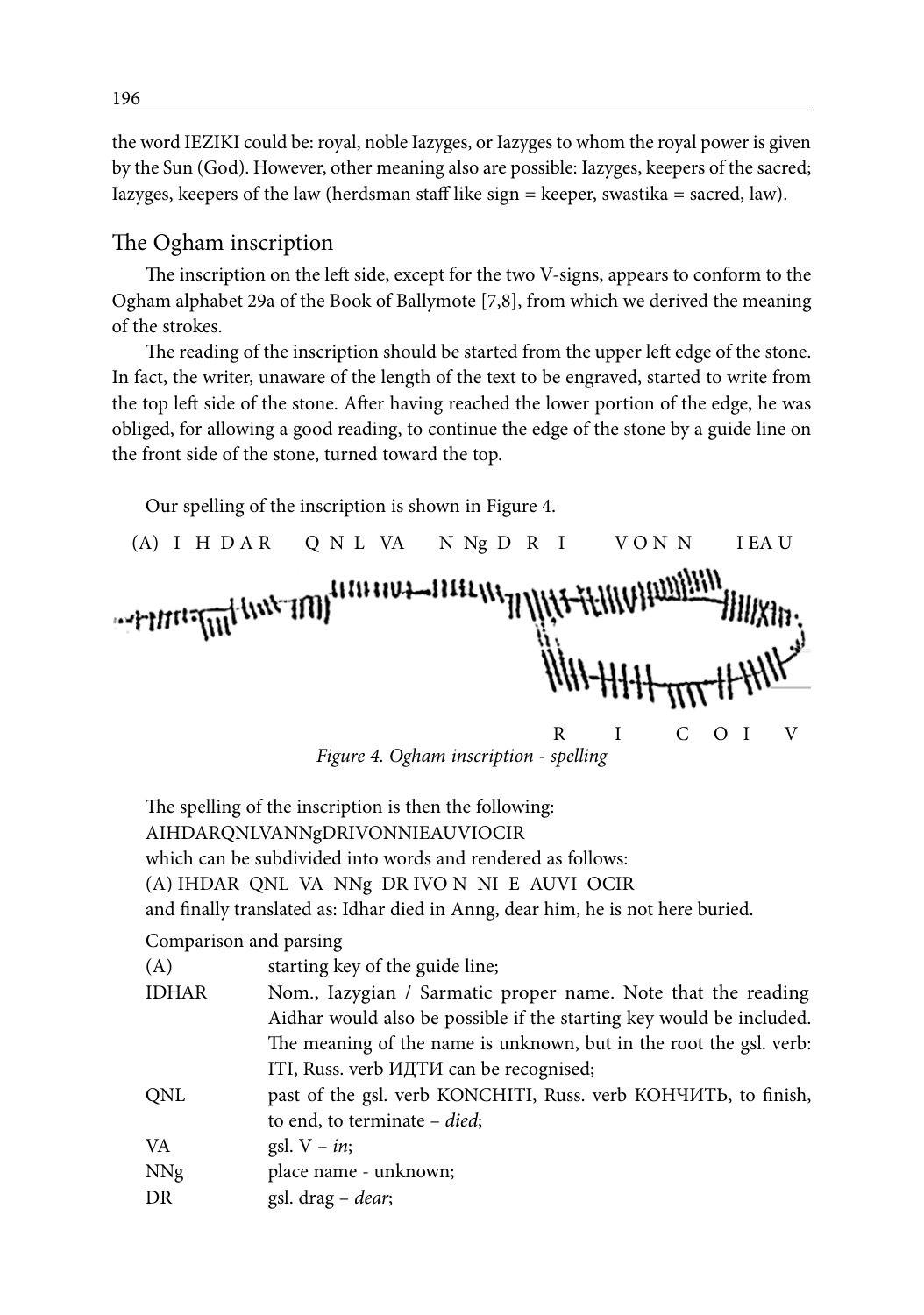the word IEZIKI could be: royal, noble Iazyges, or Iazyges to whom the royal power is given by the Sun (God). However, other meaning also are possible: Iazyges, keepers of the sacred; Iazyges, keepers of the law (herdsman staff like sign  $=$  keeper, swastika  $=$  sacred, law).

#### The Ogham inscription

The inscription on the left side, except for the two V-signs, appears to conform to the Ogham alphabet 29a of the Book of Ballymote [7,8], from which we derived the meaning of the strokes.

The reading of the inscription should be started from the upper left edge of the stone. In fact, the writer, unaware of the length of the text to be engraved, started to write from the top left side of the stone. After having reached the lower portion of the edge, he was obliged, for allowing a good reading, to continue the edge of the stone by a guide line on the front side of the stone, turned toward the top.

Our spelling of the inscription is shown in Figure 4.

(A) I H D A R Q N L VA N Ng D R I V O N N I L A U {| {|} | 1V}-1}] [[1 extractment (www.100) R I C O I V

*Figure 4. Ogham inscription - spelling*

The spelling of the inscription is then the following: AIHDARQNLVANNgDRIVONNIEAUVIOCIR which can be subdivided into words and rendered as follows: (A) IHDAR QNL VA NNg DR IVO N NI E AUVI OCIR and finally translated as: Idhar died in Anng, dear him, he is not here buried.

#### Comparison and parsing

| (A)          | starting key of the guide line;                                      |
|--------------|----------------------------------------------------------------------|
| <b>IDHAR</b> | Nom., Iazygian / Sarmatic proper name. Note that the reading         |
|              | Aidhar would also be possible if the starting key would be included. |
|              | The meaning of the name is unknown, but in the root the gsl. verb:   |
|              | ITI, Russ. verb ИДТИ can be recognised;                              |
| <b>ONL</b>   | past of the gsl. verb KONCHITI, Russ. verb KOHYMTb, to finish,       |
|              | to end, to terminate $-$ <i>died</i> ;                               |
| VA           | gsl. $V - in$ ;                                                      |
| <b>NNg</b>   | place name - unknown;                                                |
| DR           | gsl. drag - dear;                                                    |
|              |                                                                      |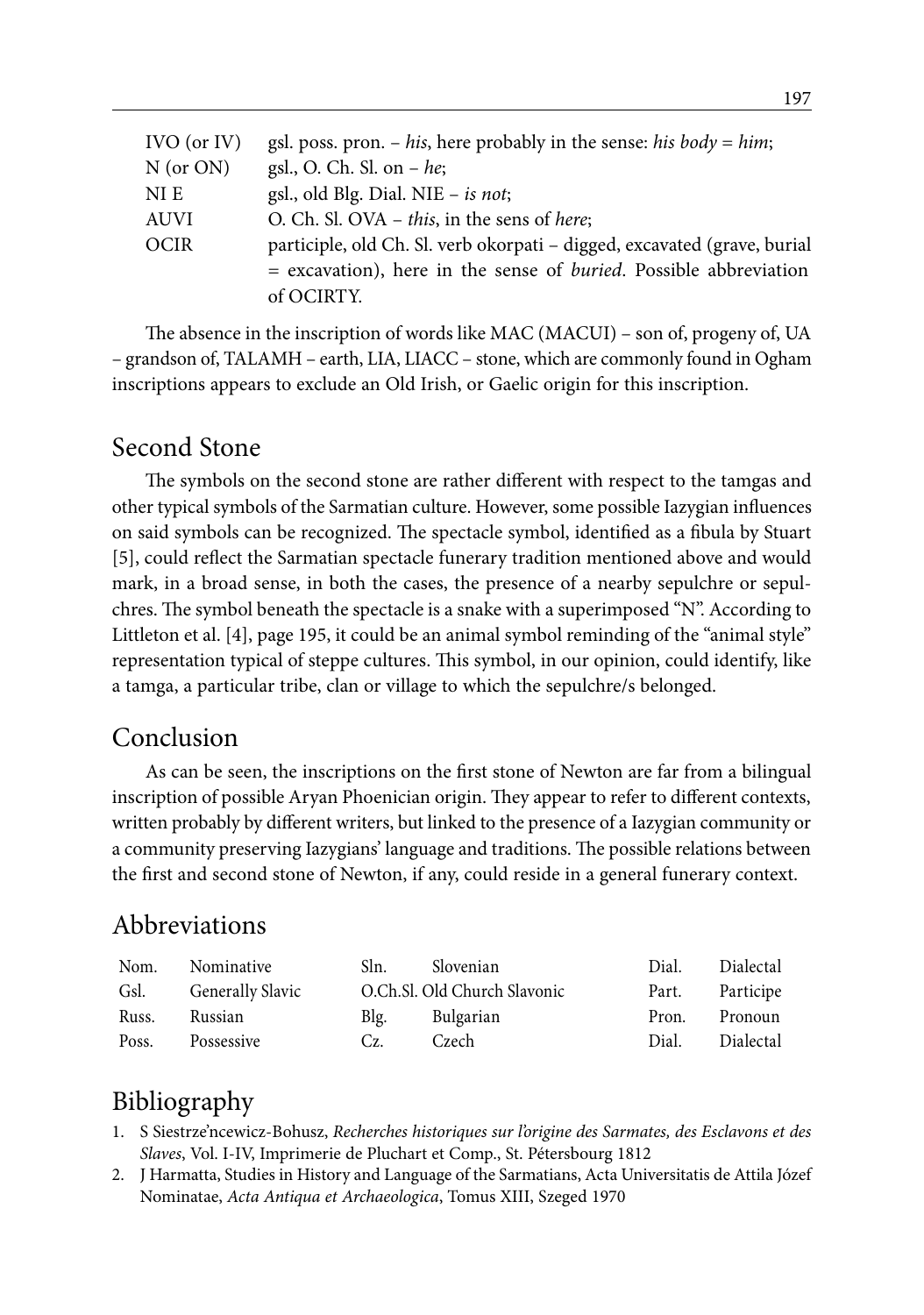| $IVO$ (or $IV$ ) | gsl. poss. pron. – his, here probably in the sense: his body = him;         |
|------------------|-----------------------------------------------------------------------------|
| $N$ (or ON)      | gsl., O. Ch. Sl. on $- he$ ;                                                |
| NI E             | gsl., old Blg. Dial. NIE $-$ is not;                                        |
| AUVI             | O. Ch. Sl. OVA $-$ this, in the sens of here;                               |
| <b>OCIR</b>      | participle, old Ch. Sl. verb okorpati – digged, excavated (grave, burial    |
|                  | $=$ excavation), here in the sense of <i>buried</i> . Possible abbreviation |
|                  | of OCIRTY.                                                                  |

The absence in the inscription of words like MAC (MACUI) – son of, progeny of, UA – grandson of, TALAMH – earth, LIA, LIACC – stone, which are commonly found in Ogham inscriptions appears to exclude an Old Irish, or Gaelic origin for this inscription.

### Second Stone

The symbols on the second stone are rather different with respect to the tamgas and other typical symbols of the Sarmatian culture. However, some possible Iazygian influences on said symbols can be recognized. The spectacle symbol, identified as a fibula by Stuart [5], could reflect the Sarmatian spectacle funerary tradition mentioned above and would mark, in a broad sense, in both the cases, the presence of a nearby sepulchre or sepulchres. The symbol beneath the spectacle is a snake with a superimposed "N". According to Littleton et al. [4], page 195, it could be an animal symbol reminding of the "animal style" representation typical of steppe cultures. This symbol, in our opinion, could identify, like a tamga, a particular tribe, clan or village to which the sepulchre/s belonged.

### Conclusion

As can be seen, the inscriptions on the first stone of Newton are far from a bilingual inscription of possible Aryan Phoenician origin. They appear to refer to different contexts, written probably by different writers, but linked to the presence of a Iazygian community or a community preserving Iazygians' language and traditions. The possible relations between the first and second stone of Newton, if any, could reside in a general funerary context.

# Abbreviations

| Nom.  | Nominative              | Sln. | Slovenian                    | Dial. | Dialectal |
|-------|-------------------------|------|------------------------------|-------|-----------|
| Gsl.  | <b>Generally Slavic</b> |      | O.Ch.Sl. Old Church Slavonic | Part. | Participe |
| Russ. | Russian                 | Blg. | Bulgarian                    | Pron. | Pronoun   |
| Poss. | Possessive              | Cz.  | Czech                        | Dial. | Dialectal |

# Bibliography

- 1. S Siestrze'ncewicz-Bohusz, *Recherches historiques sur l'origine des Sarmates, des Esclavons et des Slaves*, Vol. I-IV, Imprimerie de Pluchart et Comp., St. Pétersbourg 1812
- 2. J Harmatta, Studies in History and Language of the Sarmatians, Acta Universitatis de Attila Józef Nominatae, *Acta Antiqua et Archaeologica*, Tomus XIII, Szeged 1970